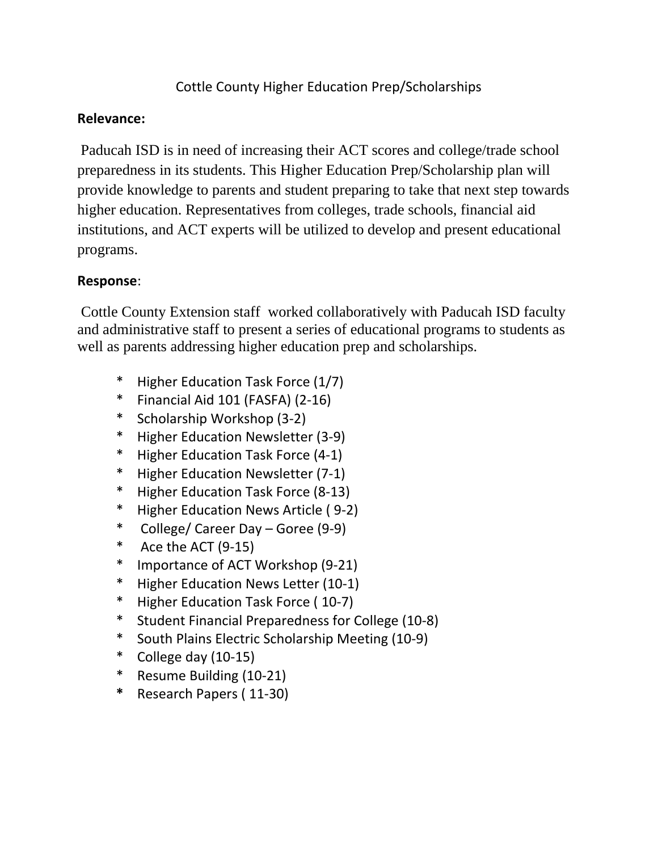## Cottle County Higher Education Prep/Scholarships

## **Relevance:**

Paducah ISD is in need of increasing their ACT scores and college/trade school preparedness in its students. This Higher Education Prep/Scholarship plan will provide knowledge to parents and student preparing to take that next step towards higher education. Representatives from colleges, trade schools, financial aid institutions, and ACT experts will be utilized to develop and present educational programs.

## **Response**:

 Cottle County Extension staff worked collaboratively with Paducah ISD faculty and administrative staff to present a series of educational programs to students as well as parents addressing higher education prep and scholarships.

- \* Higher Education Task Force (1/7)
- \* Financial Aid 101 (FASFA) (2‐16)
- \* Scholarship Workshop (3‐2)
- \* Higher Education Newsletter (3‐9)
- \* Higher Education Task Force (4‐1)
- \* Higher Education Newsletter (7‐1)
- \* Higher Education Task Force (8‐13)
- \* Higher Education News Article ( 9‐2)
- \* College/ Career Day Goree (9‐9)
- \* Ace the ACT  $(9-15)$
- \* Importance of ACT Workshop (9‐21)
- \* Higher Education News Letter (10‐1)
- \* Higher Education Task Force ( 10‐7)
- \* Student Financial Preparedness for College (10‐8)
- \* South Plains Electric Scholarship Meeting (10‐9)
- \* College day  $(10-15)$
- \* Resume Building (10‐21)
- **\*** Research Papers ( 11‐30)